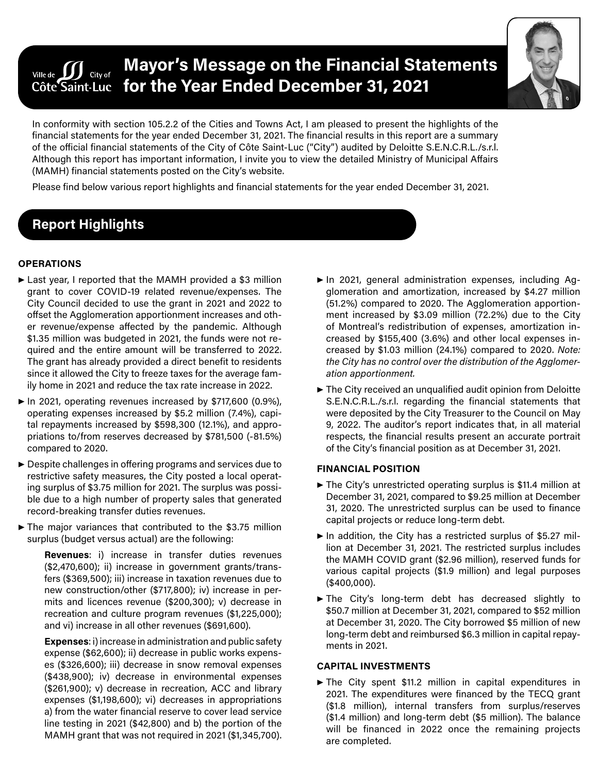#### **Mayor's Message on the Financial Statements**  Ville de  $\int\int$  City of **for the Year Ended December 31, 2021** Côte Saint-Luc



In conformity with section 105.2.2 of the Cities and Towns Act, I am pleased to present the highlights of the financial statements for the year ended December 31, 2021. The financial results in this report are a summary of the official financial statements of the City of Côte Saint-Luc ("City") audited by Deloitte S.E.N.C.R.L./s.r.l. Although this report has important information, I invite you to view the detailed Ministry of Municipal Affairs (MAMH) financial statements posted on the City's website.

Please find below various report highlights and financial statements for the year ended December 31, 2021.

# **Report Highlights**

### **OPERATIONS**

- ▶ Last year, I reported that the MAMH provided a \$3 million grant to cover COVID-19 related revenue/expenses. The City Council decided to use the grant in 2021 and 2022 to offset the Agglomeration apportionment increases and other revenue/expense affected by the pandemic. Although \$1.35 million was budgeted in 2021, the funds were not required and the entire amount will be transferred to 2022. The grant has already provided a direct benefit to residents since it allowed the City to freeze taxes for the average family home in 2021 and reduce the tax rate increase in 2022.
- ▶ In 2021, operating revenues increased by \$717,600 (0.9%), operating expenses increased by \$5.2 million (7.4%), capital repayments increased by \$598,300 (12.1%), and appropriations to/from reserves decreased by \$781,500 (-81.5%) compared to 2020.
- ▶ Despite challenges in offering programs and services due to restrictive safety measures, the City posted a local operating surplus of \$3.75 million for 2021. The surplus was possible due to a high number of property sales that generated record-breaking transfer duties revenues.
- $\blacktriangleright$  The major variances that contributed to the \$3.75 million surplus (budget versus actual) are the following:

**Revenues**: i) increase in transfer duties revenues (\$2,470,600); ii) increase in government grants/transfers (\$369,500); iii) increase in taxation revenues due to new construction/other (\$717,800); iv) increase in permits and licences revenue (\$200,300); v) decrease in recreation and culture program revenues (\$1,225,000); and vi) increase in all other revenues (\$691,600).

**Expenses**: i) increase in administration and public safety expense (\$62,600); ii) decrease in public works expenses (\$326,600); iii) decrease in snow removal expenses (\$438,900); iv) decrease in environmental expenses (\$261,900); v) decrease in recreation, ACC and library expenses (\$1,198,600); vi) decreases in appropriations a) from the water financial reserve to cover lead service line testing in 2021 (\$42,800) and b) the portion of the MAMH grant that was not required in 2021 (\$1,345,700).

- ▶ In 2021, general administration expenses, including Agglomeration and amortization, increased by \$4.27 million (51.2%) compared to 2020. The Agglomeration apportionment increased by \$3.09 million (72.2%) due to the City of Montreal's redistribution of expenses, amortization increased by \$155,400 (3.6%) and other local expenses increased by \$1.03 million (24.1%) compared to 2020. *Note: the City has no control over the distribution of the Agglomeration apportionment.*
- ▶ The City received an unqualified audit opinion from Deloitte S.E.N.C.R.L./s.r.l. regarding the financial statements that were deposited by the City Treasurer to the Council on May 9, 2022. The auditor's report indicates that, in all material respects, the financial results present an accurate portrait of the City's financial position as at December 31, 2021.

#### **FINANCIAL POSITION**

- ▶ The City's unrestricted operating surplus is \$11.4 million at December 31, 2021, compared to \$9.25 million at December 31, 2020. The unrestricted surplus can be used to finance capital projects or reduce long-term debt.
- $\blacktriangleright$  In addition, the City has a restricted surplus of \$5.27 million at December 31, 2021. The restricted surplus includes the MAMH COVID grant (\$2.96 million), reserved funds for various capital projects (\$1.9 million) and legal purposes (\$400,000).
- ▶ The City's long-term debt has decreased slightly to \$50.7 million at December 31, 2021, compared to \$52 million at December 31, 2020. The City borrowed \$5 million of new long-term debt and reimbursed \$6.3 million in capital repayments in 2021.

#### **CAPITAL INVESTMENTS**

▶ The City spent \$11.2 million in capital expenditures in 2021. The expenditures were financed by the TECQ grant (\$1.8 million), internal transfers from surplus/reserves (\$1.4 million) and long-term debt (\$5 million). The balance will be financed in 2022 once the remaining projects are completed.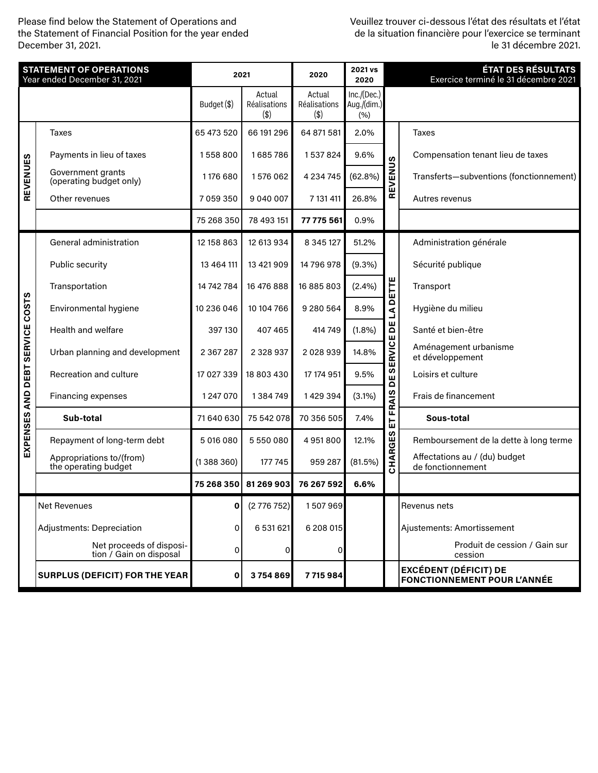Please find below the Statement of Operations and the Statement of Financial Position for the year ended December 31, 2021.

Veuillez trouver ci-dessous l'état des résultats et l'état de la situation financière pour l'exercice se terminant le 31 décembre 2021.

| <b>STATEMENT OF OPERATIONS</b><br>Year ended December 31, 2021 |                                                     | 2021          |                               | 2020                          | 2021 vs<br>2020                    |                                                                            | <b>ÉTAT DES RÉSULTATS</b><br>Exercice terminé le 31 décembre 2021  |  |  |
|----------------------------------------------------------------|-----------------------------------------------------|---------------|-------------------------------|-------------------------------|------------------------------------|----------------------------------------------------------------------------|--------------------------------------------------------------------|--|--|
|                                                                |                                                     | Budget (\$)   | Actual<br>Réalisations<br>(3) | Actual<br>Réalisations<br>(3) | Inc./(Dec.)<br>Aug./(dim.)<br>(% ) |                                                                            |                                                                    |  |  |
| REVENUES                                                       | <b>Taxes</b>                                        | 65 473 520    | 66 191 296                    | 64 871 581                    | 2.0%                               | EVENUS<br>ᄒ                                                                | <b>Taxes</b>                                                       |  |  |
|                                                                | Payments in lieu of taxes                           | 1558800       | 1685786                       | 1537824                       | 9.6%                               |                                                                            | Compensation tenant lieu de taxes                                  |  |  |
|                                                                | Government grants<br>(operating budget only)        | 1176 680      | 1576062                       | 4 2 3 4 7 4 5                 | (62.8%)                            |                                                                            | Transferts-subventions (fonctionnement)                            |  |  |
|                                                                | Other revenues                                      | 7 0 5 9 3 5 0 | 9 040 007                     | 7 131 411                     | 26.8%                              |                                                                            | Autres revenus                                                     |  |  |
|                                                                |                                                     | 75 268 350    | 78 493 151                    | 77 775 561                    | 0.9%                               |                                                                            |                                                                    |  |  |
|                                                                | General administration                              | 12 158 863    | 12 613 934                    | 8 3 4 5 1 2 7                 | 51.2%                              | <b>LA DETTE</b><br>ЪE<br><b>DE SERVICE</b><br><b>FRAIS</b><br>出<br>CHARGES | Administration générale                                            |  |  |
|                                                                | Public security                                     | 13 4 64 111   | 13 421 909                    | 14 796 978                    | (9.3%)                             |                                                                            | Sécurité publique                                                  |  |  |
|                                                                | Transportation                                      | 14 742 784    | 16 476 888                    | 16 885 803                    | (2.4%)                             |                                                                            | Transport                                                          |  |  |
| <b>COSTS</b><br><b>SERVICE</b><br>DEBT                         | Environmental hygiene                               | 10 236 046    | 10 104 766                    | 9 280 564                     | 8.9%                               |                                                                            | Hygiène du milieu                                                  |  |  |
|                                                                | Health and welfare                                  | 397130        | 407 465                       | 414 749                       | (1.8%)                             |                                                                            | Santé et bien-être                                                 |  |  |
|                                                                | Urban planning and development                      | 2 3 6 7 2 8 7 | 2 328 937                     | 2028939                       | 14.8%                              |                                                                            | Aménagement urbanisme<br>et développement                          |  |  |
|                                                                | Recreation and culture                              | 17 027 339    | 18 803 430                    | 17 174 951                    | 9.5%                               |                                                                            | Loisirs et culture                                                 |  |  |
| <b>AND</b>                                                     | Financing expenses                                  | 1 247 070     | 1384749                       | 1429394                       | (3.1%)                             |                                                                            | Frais de financement                                               |  |  |
| EXPENSES                                                       | Sub-total                                           | 71 640 630    | 75 542 078                    | 70 356 505                    | 7.4%                               |                                                                            | Sous-total                                                         |  |  |
|                                                                | Repayment of long-term debt                         | 5 016 080     | 5 550 080                     | 4951800                       | 12.1%                              |                                                                            | Remboursement de la dette à long terme                             |  |  |
|                                                                | Appropriations to/(from)<br>the operating budget    | (1388360)     | 177 745                       | 959 287                       | (81.5%)                            |                                                                            | Affectations au / (du) budget<br>de fonctionnement                 |  |  |
|                                                                |                                                     | 75 268 350    | 81 269 903                    | 76 267 592                    | 6.6%                               |                                                                            |                                                                    |  |  |
|                                                                | <b>Net Revenues</b>                                 | 0             | (2776752)                     | 1507969                       |                                    |                                                                            | Revenus nets                                                       |  |  |
|                                                                | <b>Adjustments: Depreciation</b>                    | 0             | 6 531 621                     | 6 208 015                     |                                    |                                                                            | Ajustements: Amortissement                                         |  |  |
|                                                                | Net proceeds of disposi-<br>tion / Gain on disposal | 0             | $\Omega$                      | 0                             |                                    |                                                                            | Produit de cession / Gain sur<br>cession                           |  |  |
|                                                                | <b>SURPLUS (DEFICIT) FOR THE YEAR</b>               | 0             | 3754869                       | 7715984                       |                                    |                                                                            | <b>EXCÉDENT (DÉFICIT) DE</b><br><b>FONCTIONNEMENT POUR L'ANNÉE</b> |  |  |